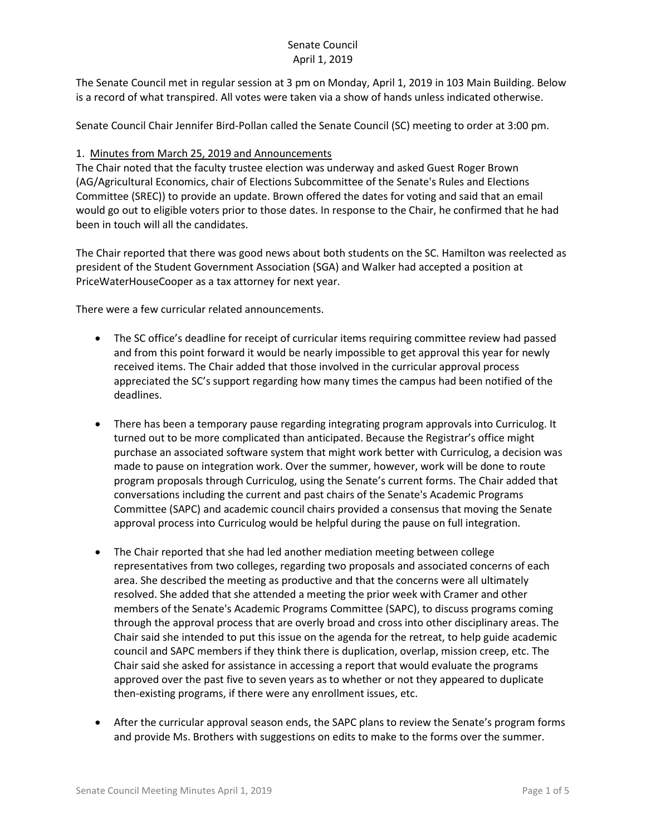The Senate Council met in regular session at 3 pm on Monday, April 1, 2019 in 103 Main Building. Below is a record of what transpired. All votes were taken via a show of hands unless indicated otherwise.

Senate Council Chair Jennifer Bird-Pollan called the Senate Council (SC) meeting to order at 3:00 pm.

### 1. Minutes from March 25, 2019 and Announcements

The Chair noted that the faculty trustee election was underway and asked Guest Roger Brown (AG/Agricultural Economics, chair of Elections Subcommittee of the Senate's Rules and Elections Committee (SREC)) to provide an update. Brown offered the dates for voting and said that an email would go out to eligible voters prior to those dates. In response to the Chair, he confirmed that he had been in touch will all the candidates.

The Chair reported that there was good news about both students on the SC. Hamilton was reelected as president of the Student Government Association (SGA) and Walker had accepted a position at PriceWaterHouseCooper as a tax attorney for next year.

There were a few curricular related announcements.

- The SC office's deadline for receipt of curricular items requiring committee review had passed and from this point forward it would be nearly impossible to get approval this year for newly received items. The Chair added that those involved in the curricular approval process appreciated the SC's support regarding how many times the campus had been notified of the deadlines.
- There has been a temporary pause regarding integrating program approvals into Curriculog. It turned out to be more complicated than anticipated. Because the Registrar's office might purchase an associated software system that might work better with Curriculog, a decision was made to pause on integration work. Over the summer, however, work will be done to route program proposals through Curriculog, using the Senate's current forms. The Chair added that conversations including the current and past chairs of the Senate's Academic Programs Committee (SAPC) and academic council chairs provided a consensus that moving the Senate approval process into Curriculog would be helpful during the pause on full integration.
- The Chair reported that she had led another mediation meeting between college representatives from two colleges, regarding two proposals and associated concerns of each area. She described the meeting as productive and that the concerns were all ultimately resolved. She added that she attended a meeting the prior week with Cramer and other members of the Senate's Academic Programs Committee (SAPC), to discuss programs coming through the approval process that are overly broad and cross into other disciplinary areas. The Chair said she intended to put this issue on the agenda for the retreat, to help guide academic council and SAPC members if they think there is duplication, overlap, mission creep, etc. The Chair said she asked for assistance in accessing a report that would evaluate the programs approved over the past five to seven years as to whether or not they appeared to duplicate then-existing programs, if there were any enrollment issues, etc.
- After the curricular approval season ends, the SAPC plans to review the Senate's program forms and provide Ms. Brothers with suggestions on edits to make to the forms over the summer.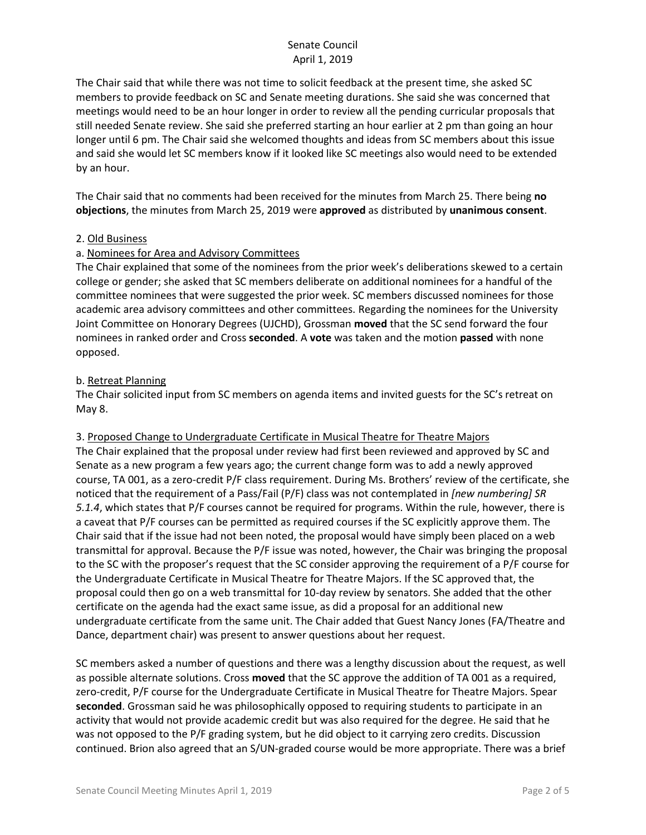The Chair said that while there was not time to solicit feedback at the present time, she asked SC members to provide feedback on SC and Senate meeting durations. She said she was concerned that meetings would need to be an hour longer in order to review all the pending curricular proposals that still needed Senate review. She said she preferred starting an hour earlier at 2 pm than going an hour longer until 6 pm. The Chair said she welcomed thoughts and ideas from SC members about this issue and said she would let SC members know if it looked like SC meetings also would need to be extended by an hour.

The Chair said that no comments had been received for the minutes from March 25. There being **no objections**, the minutes from March 25, 2019 were **approved** as distributed by **unanimous consent**.

#### 2. Old Business

### a. Nominees for Area and Advisory Committees

The Chair explained that some of the nominees from the prior week's deliberations skewed to a certain college or gender; she asked that SC members deliberate on additional nominees for a handful of the committee nominees that were suggested the prior week. SC members discussed nominees for those academic area advisory committees and other committees. Regarding the nominees for the University Joint Committee on Honorary Degrees (UJCHD), Grossman **moved** that the SC send forward the four nominees in ranked order and Cross **seconded**. A **vote** was taken and the motion **passed** with none opposed.

### b. Retreat Planning

The Chair solicited input from SC members on agenda items and invited guests for the SC's retreat on May 8.

### 3. Proposed Change to Undergraduate Certificate in Musical Theatre for Theatre Majors

The Chair explained that the proposal under review had first been reviewed and approved by SC and Senate as a new program a few years ago; the current change form was to add a newly approved course, TA 001, as a zero-credit P/F class requirement. During Ms. Brothers' review of the certificate, she noticed that the requirement of a Pass/Fail (P/F) class was not contemplated in *[new numbering] SR 5.1.4*, which states that P/F courses cannot be required for programs. Within the rule, however, there is a caveat that P/F courses can be permitted as required courses if the SC explicitly approve them. The Chair said that if the issue had not been noted, the proposal would have simply been placed on a web transmittal for approval. Because the P/F issue was noted, however, the Chair was bringing the proposal to the SC with the proposer's request that the SC consider approving the requirement of a P/F course for the Undergraduate Certificate in Musical Theatre for Theatre Majors. If the SC approved that, the proposal could then go on a web transmittal for 10-day review by senators. She added that the other certificate on the agenda had the exact same issue, as did a proposal for an additional new undergraduate certificate from the same unit. The Chair added that Guest Nancy Jones (FA/Theatre and Dance, department chair) was present to answer questions about her request.

SC members asked a number of questions and there was a lengthy discussion about the request, as well as possible alternate solutions. Cross **moved** that the SC approve the addition of TA 001 as a required, zero-credit, P/F course for the Undergraduate Certificate in Musical Theatre for Theatre Majors. Spear **seconded**. Grossman said he was philosophically opposed to requiring students to participate in an activity that would not provide academic credit but was also required for the degree. He said that he was not opposed to the P/F grading system, but he did object to it carrying zero credits. Discussion continued. Brion also agreed that an S/UN-graded course would be more appropriate. There was a brief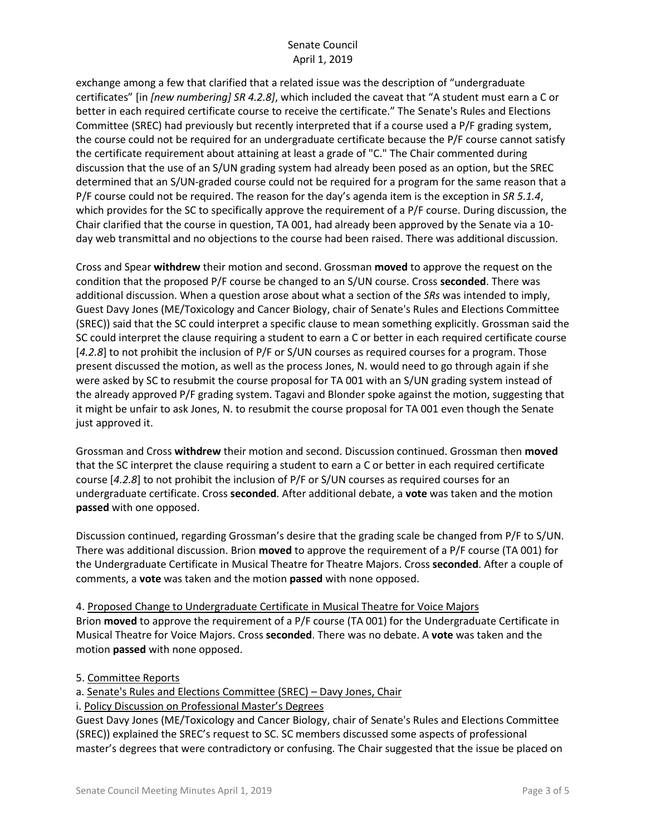exchange among a few that clarified that a related issue was the description of "undergraduate certificates" [in *[new numbering] SR 4.2.8]*, which included the caveat that "A student must earn a C or better in each required certificate course to receive the certificate." The Senate's Rules and Elections Committee (SREC) had previously but recently interpreted that if a course used a P/F grading system, the course could not be required for an undergraduate certificate because the P/F course cannot satisfy the certificate requirement about attaining at least a grade of "C." The Chair commented during discussion that the use of an S/UN grading system had already been posed as an option, but the SREC determined that an S/UN-graded course could not be required for a program for the same reason that a P/F course could not be required. The reason for the day's agenda item is the exception in *SR 5.1.4*, which provides for the SC to specifically approve the requirement of a P/F course. During discussion, the Chair clarified that the course in question, TA 001, had already been approved by the Senate via a 10 day web transmittal and no objections to the course had been raised. There was additional discussion.

Cross and Spear **withdrew** their motion and second. Grossman **moved** to approve the request on the condition that the proposed P/F course be changed to an S/UN course. Cross **seconded**. There was additional discussion. When a question arose about what a section of the *SRs* was intended to imply, Guest Davy Jones (ME/Toxicology and Cancer Biology, chair of Senate's Rules and Elections Committee (SREC)) said that the SC could interpret a specific clause to mean something explicitly. Grossman said the SC could interpret the clause requiring a student to earn a C or better in each required certificate course [*4.2.8*] to not prohibit the inclusion of P/F or S/UN courses as required courses for a program. Those present discussed the motion, as well as the process Jones, N. would need to go through again if she were asked by SC to resubmit the course proposal for TA 001 with an S/UN grading system instead of the already approved P/F grading system. Tagavi and Blonder spoke against the motion, suggesting that it might be unfair to ask Jones, N. to resubmit the course proposal for TA 001 even though the Senate just approved it.

Grossman and Cross **withdrew** their motion and second. Discussion continued. Grossman then **moved** that the SC interpret the clause requiring a student to earn a C or better in each required certificate course [*4.2.8*] to not prohibit the inclusion of P/F or S/UN courses as required courses for an undergraduate certificate. Cross **seconded**. After additional debate, a **vote** was taken and the motion **passed** with one opposed.

Discussion continued, regarding Grossman's desire that the grading scale be changed from P/F to S/UN. There was additional discussion. Brion **moved** to approve the requirement of a P/F course (TA 001) for the Undergraduate Certificate in Musical Theatre for Theatre Majors. Cross **seconded**. After a couple of comments, a **vote** was taken and the motion **passed** with none opposed.

4. Proposed Change to Undergraduate Certificate in Musical Theatre for Voice Majors Brion **moved** to approve the requirement of a P/F course (TA 001) for the Undergraduate Certificate in Musical Theatre for Voice Majors. Cross **seconded**. There was no debate. A **vote** was taken and the motion **passed** with none opposed.

5. Committee Reports

a. Senate's Rules and Elections Committee (SREC) – Davy Jones, Chair

i. Policy Discussion on Professional Master's Degrees

Guest Davy Jones (ME/Toxicology and Cancer Biology, chair of Senate's Rules and Elections Committee (SREC)) explained the SREC's request to SC. SC members discussed some aspects of professional master's degrees that were contradictory or confusing. The Chair suggested that the issue be placed on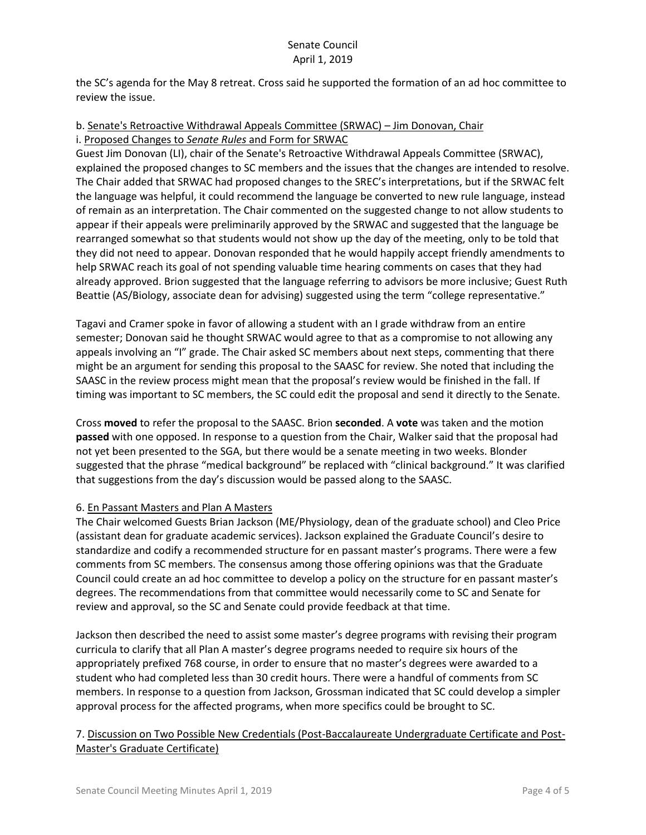the SC's agenda for the May 8 retreat. Cross said he supported the formation of an ad hoc committee to review the issue.

### b. Senate's Retroactive Withdrawal Appeals Committee (SRWAC) – Jim Donovan, Chair i. Proposed Changes to *Senate Rules* and Form for SRWAC

Guest Jim Donovan (LI), chair of the Senate's Retroactive Withdrawal Appeals Committee (SRWAC), explained the proposed changes to SC members and the issues that the changes are intended to resolve. The Chair added that SRWAC had proposed changes to the SREC's interpretations, but if the SRWAC felt the language was helpful, it could recommend the language be converted to new rule language, instead of remain as an interpretation. The Chair commented on the suggested change to not allow students to appear if their appeals were preliminarily approved by the SRWAC and suggested that the language be rearranged somewhat so that students would not show up the day of the meeting, only to be told that they did not need to appear. Donovan responded that he would happily accept friendly amendments to help SRWAC reach its goal of not spending valuable time hearing comments on cases that they had already approved. Brion suggested that the language referring to advisors be more inclusive; Guest Ruth Beattie (AS/Biology, associate dean for advising) suggested using the term "college representative."

Tagavi and Cramer spoke in favor of allowing a student with an I grade withdraw from an entire semester; Donovan said he thought SRWAC would agree to that as a compromise to not allowing any appeals involving an "I" grade. The Chair asked SC members about next steps, commenting that there might be an argument for sending this proposal to the SAASC for review. She noted that including the SAASC in the review process might mean that the proposal's review would be finished in the fall. If timing was important to SC members, the SC could edit the proposal and send it directly to the Senate.

Cross **moved** to refer the proposal to the SAASC. Brion **seconded**. A **vote** was taken and the motion **passed** with one opposed. In response to a question from the Chair, Walker said that the proposal had not yet been presented to the SGA, but there would be a senate meeting in two weeks. Blonder suggested that the phrase "medical background" be replaced with "clinical background." It was clarified that suggestions from the day's discussion would be passed along to the SAASC.

# 6. En Passant Masters and Plan A Masters

The Chair welcomed Guests Brian Jackson (ME/Physiology, dean of the graduate school) and Cleo Price (assistant dean for graduate academic services). Jackson explained the Graduate Council's desire to standardize and codify a recommended structure for en passant master's programs. There were a few comments from SC members. The consensus among those offering opinions was that the Graduate Council could create an ad hoc committee to develop a policy on the structure for en passant master's degrees. The recommendations from that committee would necessarily come to SC and Senate for review and approval, so the SC and Senate could provide feedback at that time.

Jackson then described the need to assist some master's degree programs with revising their program curricula to clarify that all Plan A master's degree programs needed to require six hours of the appropriately prefixed 768 course, in order to ensure that no master's degrees were awarded to a student who had completed less than 30 credit hours. There were a handful of comments from SC members. In response to a question from Jackson, Grossman indicated that SC could develop a simpler approval process for the affected programs, when more specifics could be brought to SC.

# 7. Discussion on Two Possible New Credentials (Post-Baccalaureate Undergraduate Certificate and Post-Master's Graduate Certificate)